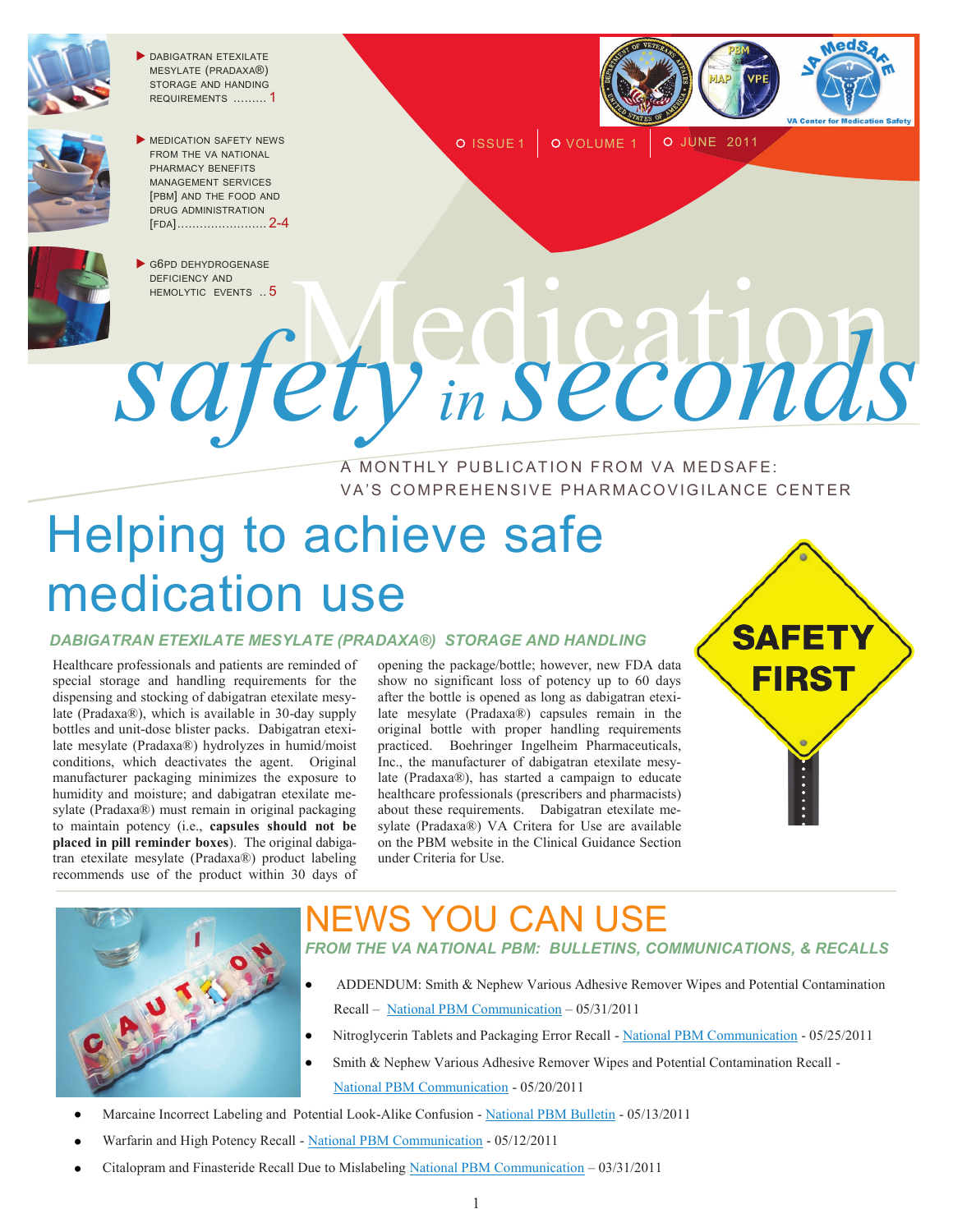

**DABIGATRAN ETEXILATE** MESYLATE (PRADAXA®) STORAGE AND HANDING REQUIREMENTS ......... 1



MEDICATION SAFETY NEWS FROM THE VA NATIONAL PHARMACY BENEFITS MANAGEMENT SERVICES [PBM] AND THE FOOD AND DRUG ADMINISTRATION [FDA]........................ 2-4



O ISSUE 1 | O VOLUME 1 | O JUNE 2011

G6PD DEHYDROGENASE DEFICIENCY AND

# OPPO DEHYDROGENASE A MONTHLY PUBLICATION FROM VA MEDSAFE: *safety in seconds*

## VA'S COMPREHENSIVE PHARMACOVIGILANCE CENTER

# Helping to achieve safe medication use

#### *DABIGATRAN ETEXILATE MESYLATE (PRADAXA®) STORAGE AND HANDLING*

Healthcare professionals and patients are reminded of special storage and handling requirements for the dispensing and stocking of dabigatran etexilate mesylate (Pradaxa®), which is available in 30-day supply bottles and unit-dose blister packs. Dabigatran etexilate mesylate (Pradaxa®) hydrolyzes in humid/moist conditions, which deactivates the agent. Original manufacturer packaging minimizes the exposure to humidity and moisture; and dabigatran etexilate mesylate (Pradaxa®) must remain in original packaging to maintain potency (i.e., **capsules should not be placed in pill reminder boxes**). The original dabigatran etexilate mesylate (Pradaxa®) product labeling recommends use of the product within 30 days of

opening the package/bottle; however, new FDA data show no significant loss of potency up to 60 days after the bottle is opened as long as dabigatran etexilate mesylate (Pradaxa®) capsules remain in the original bottle with proper handling requirements practiced. Boehringer Ingelheim Pharmaceuticals, Inc., the manufacturer of dabigatran etexilate mesylate (Pradaxa®), has started a campaign to educate healthcare professionals (prescribers and pharmacists) about these requirements. Dabigatran etexilate mesylate (Pradaxa®) VA Critera for Use are available on the PBM website in the Clinical Guidance Section under Criteria for Use.





### VS YOU CAN USE *FROM THE VA NATIONAL PBM: BULLETINS, COMMUNICATIONS, & RECALLS*

- ADDENDUM: Smith & Nephew Various Adhesive Remover Wipes and Potential Contamination Recall – [National PBM Communication](http://www.pbm.va.gov/vamedsafe/Smith%20&%20Nephew%20REMOVER%20ADH%20WIPE_Addendum%20_Recall_NATIONAL%20PBM%20COMMUNICATION_053111_FINAL.PDF) – 05/31/2011
- Nitroglycerin Tablets and Packaging Error Recall [National PBM Communication](http://www.pbm.va.gov/vamedsafe/Nitroglycerin%20Recall%20Due%20to%20Packaging%20Error_NATIONAL%20PBM%20COMMUNICATION_052511_FINAL.PDF) 05/25/2011
- Smith & Nephew Various Adhesive Remover Wipes and Potential Contamination Recall [National PBM Communication](http://www.pbm.va.gov/vamedsafe/Smith%20&%20Nephew%20REMOVER%20ADH%20WIPE_Various%20_Recall_NATIONAL%20PBM%20COMMUNICATION_052011_FINAL.PDF) - 05/20/2011
- Marcaine Incorrect Labeling and Potential Look-Alike Confusion [National PBM Bulletin](http://www.pbm.va.gov/vamedsafe/Marcaine_LASA%20Confusion_National%20PBM%20Bulletin_051311_FINAL.PDF) 05/13/2011
- Warfarin and High Potency Recall [National PBM Communication](http://www.pbm.va.gov/vamedsafe/Warfarin%20and%20High%20Potency_Recall_NATIONAL%20PBM%20COMMUNICATION_051211_FINAL.PDF) 05/12/2011
- Citalopram and Finasteride Recall Due to Mislabeling [National PBM Communication](http://www.pbm.va.gov/vamedsafe/Citalopram%20and%20Finasteride%20Recall%20Due%20to%20Mislabeling_NATIONAL%20PBM%20COMMUNICATION_033111_FINAL.pdf) 03/31/2011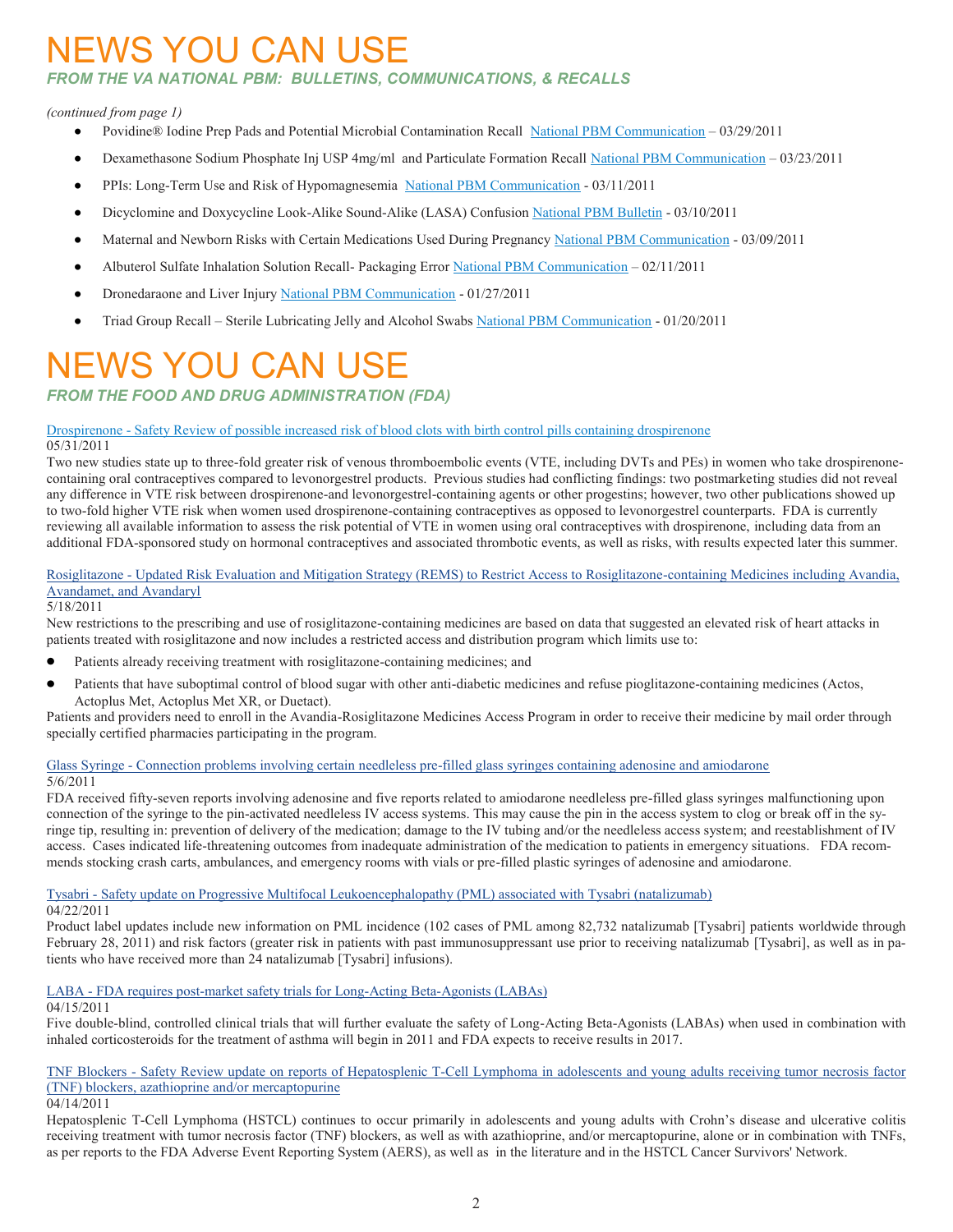# **IEWS YOU CAN USE**

#### *FROM THE VA NATIONAL PBM: BULLETINS, COMMUNICATIONS, & RECALLS*

#### *(continued from page 1)*

- Povidine® Iodine Prep Pads and Potential Microbial Contamination Recall [National PBM Communication](http://www.pbm.va.gov/vamedsafe/Povidine®%20Iodine%20Prep%20Pads%20and%20Potential%20Microbial%20Contamination_Recall_NATIONAL%20PBM%20COMMUNICATION_032911_FINAL.pdf) 03/29/2011
- Dexamethasone Sodium Phosphate Inj USP 4mg/ml and Particulate Formation Recall [National PBM Communication](http://www.pbm.va.gov/vamedsafe/Dexamethasone%20Sodium%20Phosphate%20Inj%20USP%204mg_ml_NATIONAL%20PBM%20COMMUNICATION_032311_FINAL.pdf) 03/23/2011  $\bullet$
- PPIs: Long-Term Use and Risk of Hypomagnesemia [National PBM Communication](http://www.pbm.va.gov/vamedsafe/PPIs%20and%20Hypomagnesemia_NATIONAL%20PBM%20COMMUNICATION_031111_FINAL.PDF) 03/11/2011
- Dicyclomine and Doxycycline Look-Alike Sound-Alike (LASA) Confusion [National PBM Bulletin](http://www.pbm.va.gov/vamedsafe/Dicyclomine%20and%20Doxycycline%20LASA%20Confusion_National%20PBM%20Bulletin_FINAL_031011.pdf) 03/10/2011  $\bullet$
- Maternal and Newborn Risks with Certain Medications Used During Pregnancy [National PBM Communication](http://www.pbm.va.gov/vamedsafe/Maternal%20and%20Newborn%20Risks%20with%20Certain%20Medications%20Used%20During%20Pregnancy_NATIONAL%20PBM%20COMMUNICATION_FINAL_030911.pdf) 03/09/2011  $\bullet$
- Albuterol Sulfate Inhalation Solution Recall- Packaging Error [National PBM Communication](http://www.pbm.va.gov/vamedsafe/Albuterol%20Sulfate%20Inhalation%20Solution%20Recall-%20Packaging%20Error_NATIONAL%20PBM%20COMMUNICATION_021111_FINAL.pdf) 02/11/2011
- Dronedaraone and Liver Injury [National PBM Communication](http://www.pbm.va.gov/vamedsafe/DRONEDARONE_LIVER%20INJURY_NATIONAL%20PBM%20COMMUNICATION_FINAL_012711.pdf) 01/27/2011  $\bullet$
- Triad Group Recall Sterile Lubricating Jelly and Alcohol Swabs [National PBM Communication](http://www.pbm.va.gov/vamedsafe/TRIAD%20GROUP%20RECALL_STERILE%20LUBRICATING%20JELLY%20_ALCOHOL%20SWABS_NATIONAL%20PBM%20COMMUNICATION_FINAL_012011.pdf) 01/20/2011

# NEWS YOU CAN USE

*FROM THE FOOD AND DRUG ADMINISTRATION (FDA)*

#### Drospirenone - [Safety Review of possible increased risk of blood clots with birth control pills containing drospirenone](http://www.fda.gov/Drugs/DrugSafety/ucm257164.htm)

#### 05/31/2011

Two new studies state up to three-fold greater risk of venous thromboembolic events (VTE, including DVTs and PEs) in women who take drospirenonecontaining oral contraceptives compared to levonorgestrel products. Previous studies had conflicting findings: two postmarketing studies did not reveal any difference in VTE risk between drospirenone-and levonorgestrel-containing agents or other progestins; however, two other publications showed up to two-fold higher VTE risk when women used drospirenone-containing contraceptives as opposed to levonorgestrel counterparts. FDA is currently reviewing all available information to assess the risk potential of VTE in women using oral contraceptives with drospirenone, including data from an additional FDA-sponsored study on hormonal contraceptives and associated thrombotic events, as well as risks, with results expected later this summer.

#### Rosiglitazone - [Updated Risk Evaluation and Mitigation Strategy \(REMS\) to Restrict Access to Rosiglitazone-containing Medicines including Avandia,](http://www.fda.gov/Drugs/DrugSafety/ucm255005.htm)  [Avandamet, and Avandaryl](http://www.fda.gov/Drugs/DrugSafety/ucm255005.htm)

#### 5/18/2011

New restrictions to the prescribing and use of rosiglitazone-containing medicines are based on data that suggested an elevated risk of heart attacks in patients treated with rosiglitazone and now includes a restricted access and distribution program which limits use to:

- Patients already receiving treatment with rosiglitazone-containing medicines; and  $\bullet$
- $\bullet$ Patients that have suboptimal control of blood sugar with other anti-diabetic medicines and refuse pioglitazone-containing medicines (Actos, Actoplus Met, Actoplus Met XR, or Duetact).

Patients and providers need to enroll in the Avandia-Rosiglitazone Medicines Access Program in order to receive their medicine by mail order through specially certified pharmacies participating in the program.

### Glass Syringe - [Connection problems involving certain needleless pre-filled glass syringes containing adenosine and amiodarone](http://www.fda.gov/Drugs/DrugSafety/ucm254215.htm)

#### 5/6/2011

FDA received fifty-seven reports involving adenosine and five reports related to amiodarone needleless pre-filled glass syringes malfunctioning upon connection of the syringe to the pin-activated needleless IV access systems. This may cause the pin in the access system to clog or break off in the syringe tip, resulting in: prevention of delivery of the medication; damage to the IV tubing and/or the needleless access system; and reestablishment of IV access. Cases indicated life-threatening outcomes from inadequate administration of the medication to patients in emergency situations. FDA recommends stocking crash carts, ambulances, and emergency rooms with vials or pre-filled plastic syringes of adenosine and amiodarone.

#### Tysabri - [Safety update on Progressive Multifocal Leukoencephalopathy \(PML\) associated with Tysabri \(natalizumab\)](http://www.fda.gov/Drugs/DrugSafety/ucm252045.htm)

04/22/2011

Product label updates include new information on PML incidence (102 cases of PML among 82,732 natalizumab [Tysabri] patients worldwide through February 28, 2011) and risk factors (greater risk in patients with past immunosuppressant use prior to receiving natalizumab [Tysabri], as well as in patients who have received more than 24 natalizumab [Tysabri] infusions).

#### LABA - [FDA requires post-market safety trials for Long-Acting Beta-Agonists \(LABAs\)](http://www.fda.gov/Drugs/DrugSafety/ucm251512.htm)

#### 04/15/2011

Five double-blind, controlled clinical trials that will further evaluate the safety of Long-Acting Beta-Agonists (LABAs) when used in combination with inhaled corticosteroids for the treatment of asthma will begin in 2011 and FDA expects to receive results in 2017.

#### TNF Blockers - [Safety Review update on reports of Hepatosplenic T-Cell Lymphoma in adolescents and young adults receiving tumor necrosis factor](http://www.fda.gov/Drugs/DrugSafety/ucm250913.htm)  [\(TNF\) blockers, azathioprine and/or mercaptopurine](http://www.fda.gov/Drugs/DrugSafety/ucm250913.htm)

#### 04/14/2011

Hepatosplenic T-Cell Lymphoma (HSTCL) continues to occur primarily in adolescents and young adults with Crohn's disease and ulcerative colitis receiving treatment with tumor necrosis factor (TNF) blockers, as well as with azathioprine, and/or mercaptopurine, alone or in combination with TNFs, as per reports to the FDA Adverse Event Reporting System (AERS), as well as in the literature and in the HSTCL Cancer Survivors' Network.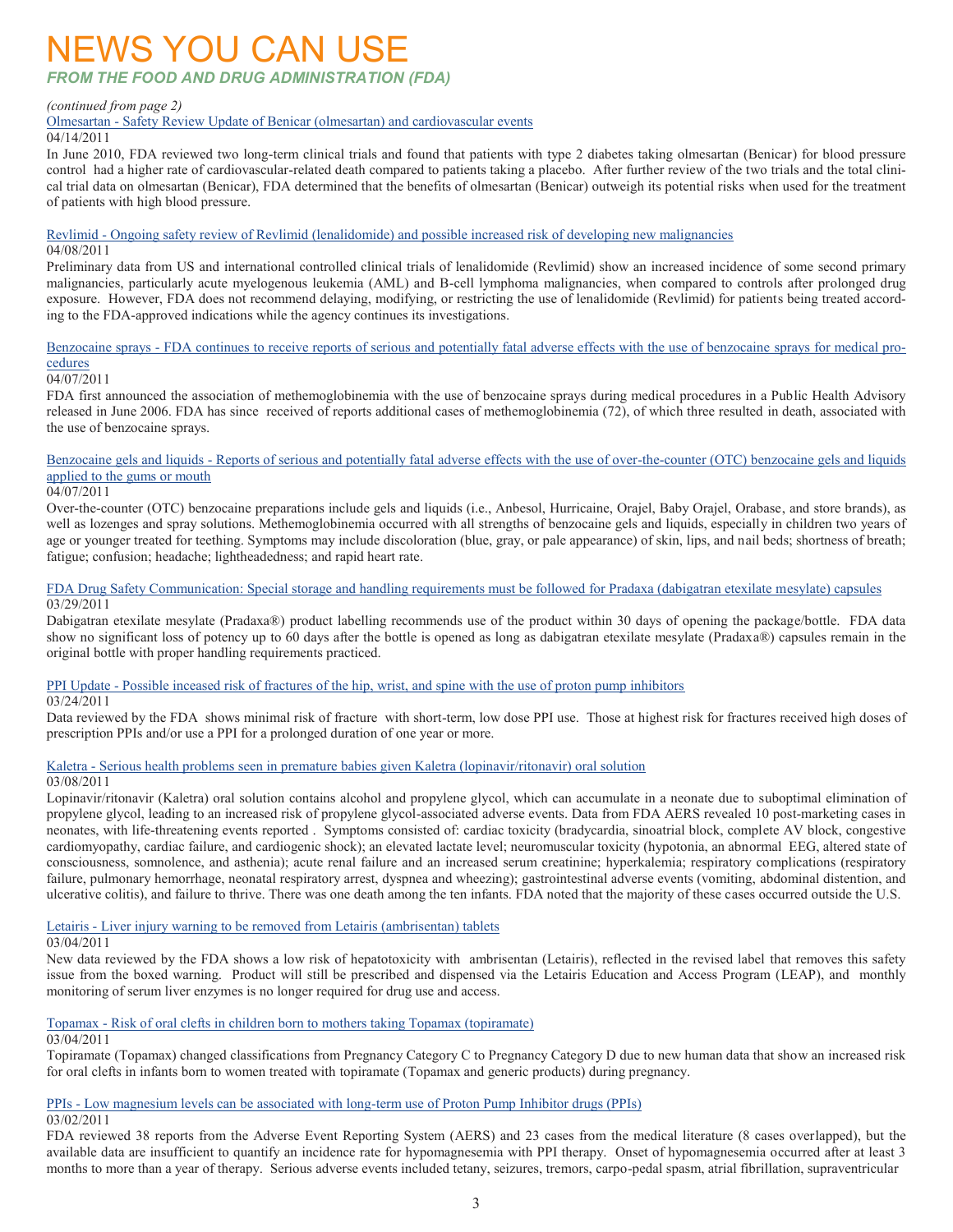## NEWS YOU CAN USE

#### *FROM THE FOOD AND DRUG ADMINISTRATION (FDA)*

#### *(continued from page 2)*

Olmesartan - [Safety Review Update of Benicar \(olmesartan\) and cardiovascular events](http://www.fda.gov/Drugs/DrugSafety/ucm251268.htm)

#### 04/14/2011

In June 2010, FDA reviewed two long-term clinical trials and found that patients with type 2 diabetes taking olmesartan (Benicar) for blood pressure control had a higher rate of cardiovascular-related death compared to patients taking a placebo. After further review of the two trials and the total clinical trial data on olmesartan (Benicar), FDA determined that the benefits of olmesartan (Benicar) outweigh its potential risks when used for the treatment of patients with high blood pressure.

Revlimid - [Ongoing safety review of Revlimid \(lenalidomide\) and possible increased risk of developing new malignancies](http://www.fda.gov/Drugs/DrugSafety/ucm250575.htm) 04/08/2011

Preliminary data from US and international controlled clinical trials of lenalidomide (Revlimid) show an increased incidence of some second primary malignancies, particularly acute myelogenous leukemia (AML) and B-cell lymphoma malignancies, when compared to controls after prolonged drug exposure. However, FDA does not recommend delaying, modifying, or restricting the use of lenalidomide (Revlimid) for patients being treated according to the FDA-approved indications while the agency continues its investigations.

#### Benzocaine sprays - [FDA continues to receive reports of serious and potentially fatal adverse effects with the use of benzocaine](http://www.fda.gov/Drugs/DrugSafety/ucm250040.htm) sprays for medical pro[cedures](http://www.fda.gov/Drugs/DrugSafety/ucm250040.htm)

#### 04/07/2011

FDA first announced the association of methemoglobinemia with the use of benzocaine sprays during medical procedures in a Public Health Advisory released in June 2006. FDA has since received of reports additional cases of methemoglobinemia (72), of which three resulted in death, associated with the use of benzocaine sprays.

Benzocaine gels and liquids - [Reports of serious and potentially fatal adverse effects with the use of over-the-counter \(OTC\) benzocaine gels and liquids](http://www.fda.gov/Drugs/DrugSafety/ucm250024.htm)  [applied to the gums or mouth](http://www.fda.gov/Drugs/DrugSafety/ucm250024.htm)

#### 04/07/2011

Over-the-counter (OTC) benzocaine preparations include gels and liquids (i.e., Anbesol, Hurricaine, Orajel, Baby Orajel, Orabase, and store brands), as well as lozenges and spray solutions. Methemoglobinemia occurred with all strengths of benzocaine gels and liquids, especially in children two years of age or younger treated for teething. Symptoms may include discoloration (blue, gray, or pale appearance) of skin, lips, and nail beds; shortness of breath; fatigue; confusion; headache; lightheadedness; and rapid heart rate.

#### [FDA Drug Safety Communication: Special storage and handling requirements must be followed for Pradaxa \(dabigatran etexilate mesylate\) capsules](http://www.fda.gov/Drugs/DrugSafety/ucm248746.htm) 03/29/2011

Dabigatran etexilate mesylate (Pradaxa®) product labelling recommends use of the product within 30 days of opening the package/bottle. FDA data show no significant loss of potency up to 60 days after the bottle is opened as long as dabigatran etexilate mesylate (Pradaxa®) capsules remain in the original bottle with proper handling requirements practiced.

#### PPI Update - [Possible inceased risk of fractures of the hip, wrist, and spine with the use of proton pump inhibitors](http://www.fda.gov/Drugs/DrugSafety/PostmarketDrugSafetyInformationforPatientsandProviders/ucm213206.htm)

 $\sqrt{03/24/2011}$ 

Data reviewed by the FDA shows minimal risk of fracture with short-term, low dose PPI use. Those at highest risk for fractures received high doses of prescription PPIs and/or use a PPI for a prolonged duration of one year or more.

#### Kaletra - [Serious health problems seen in premature babies given Kaletra \(lopinavir/ritonavir\) oral solution](http://www.fda.gov/Drugs/DrugSafety/ucm246002.htm)

#### 03/08/2011

Lopinavir/ritonavir (Kaletra) oral solution contains alcohol and propylene glycol, which can accumulate in a neonate due to suboptimal elimination of propylene glycol, leading to an increased risk of propylene glycol-associated adverse events. Data from FDA AERS revealed 10 post-marketing cases in neonates, with life-threatening events reported . Symptoms consisted of: cardiac toxicity (bradycardia, sinoatrial block, complete AV block, congestive cardiomyopathy, cardiac failure, and cardiogenic shock); an elevated lactate level; neuromuscular toxicity (hypotonia, an abnormal EEG, altered state of consciousness, somnolence, and asthenia); acute renal failure and an increased serum creatinine; hyperkalemia; respiratory complications (respiratory failure, pulmonary hemorrhage, neonatal respiratory arrest, dyspnea and wheezing); gastrointestinal adverse events (vomiting, abdominal distention, and ulcerative colitis), and failure to thrive. There was one death among the ten infants. FDA noted that the majority of these cases occurred outside the U.S.

Letairis - [Liver injury warning to be removed from Letairis \(ambrisentan\) tablets](http://www.fda.gov/Drugs/DrugSafety/ucm245852.htm)

#### 03/04/2011

New data reviewed by the FDA shows a low risk of hepatotoxicity with ambrisentan (Letairis), reflected in the revised label that removes this safety issue from the boxed warning. Product will still be prescribed and dispensed via the Letairis Education and Access Program (LEAP), and monthly monitoring of serum liver enzymes is no longer required for drug use and access.

#### Topamax - [Risk of oral clefts in children born to mothers taking Topamax \(topiramate\)](http://www.fda.gov/Drugs/DrugSafety/ucm245085.htm)

03/04/2011

Topiramate (Topamax) changed classifications from Pregnancy Category C to Pregnancy Category D due to new human data that show an increased risk for oral clefts in infants born to women treated with topiramate (Topamax and generic products) during pregnancy.

#### PPIs - [Low magnesium levels can be associated with long-term use of Proton Pump Inhibitor drugs \(PPIs\)](http://www.fda.gov/Drugs/DrugSafety/ucm245011.htm)

03/02/2011

FDA reviewed 38 reports from the Adverse Event Reporting System (AERS) and 23 cases from the medical literature (8 cases overlapped), but the available data are insufficient to quantify an incidence rate for hypomagnesemia with PPI therapy. Onset of hypomagnesemia occurred after at least 3 months to more than a year of therapy. Serious adverse events included tetany, seizures, tremors, carpo-pedal spasm, atrial fibrillation, supraventricular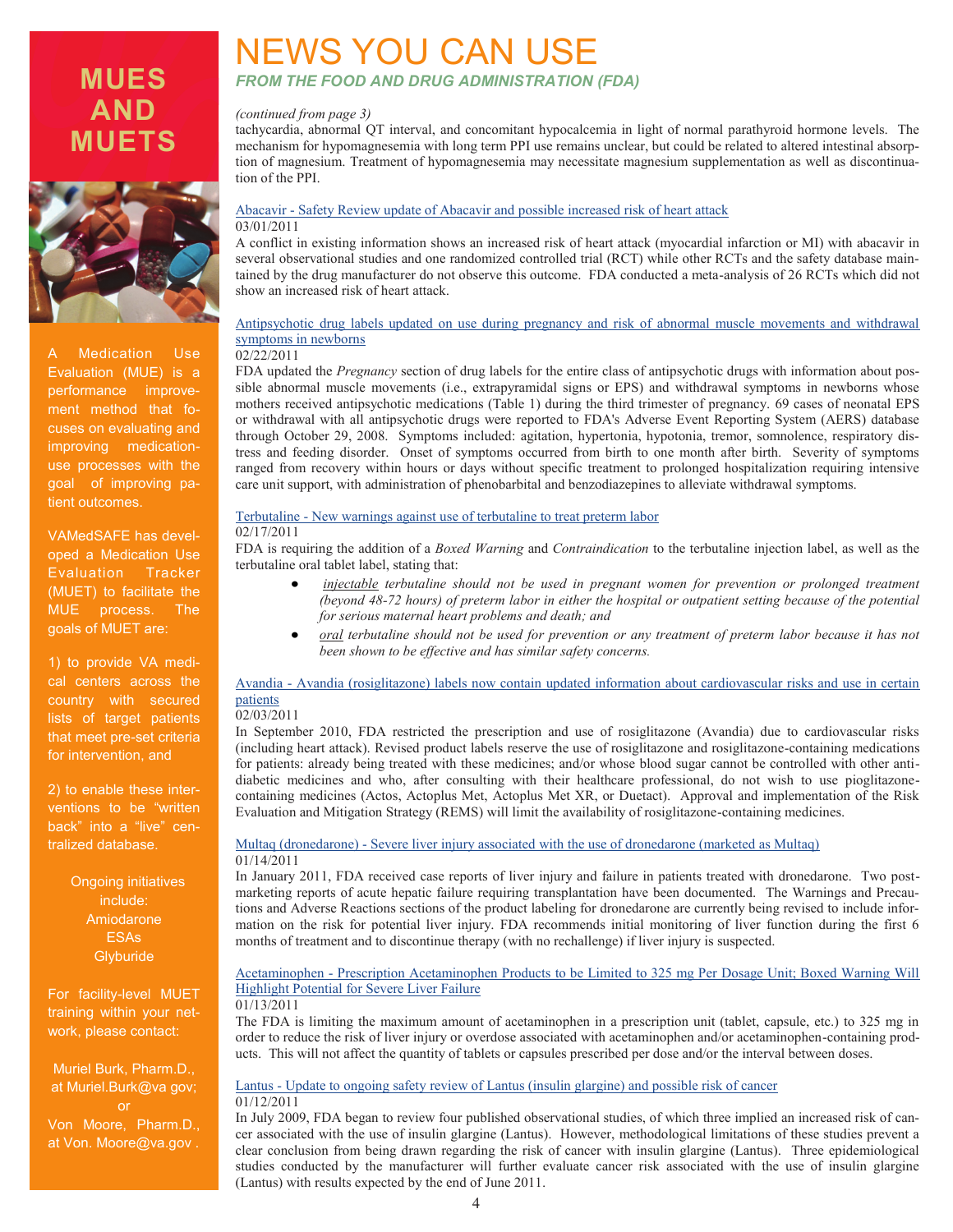### **MUES AND MUETS**



Medication Use Evaluation (MUE) is a performance improvement method that focuses on evaluating and improving medicationuse processes with the goal of improving patient outcomes.

VAMedSAFE has developed a Medication Use (MUET) to facilitate the MUE process. The goals of MUET are:

1) to provide VA medical centers across the country with secured lists of target patients that meet pre-set criteria for intervention, and

2) to enable these interventions to be "written back" into a "live" centralized database.

> Ongoing initiatives include: Amiodarone ESAs **Glyburide**

For facility-level MUET training within your network, please contact:

Muriel Burk, Pharm.D., at Muriel.Burk@va gov; Von Moore, Pharm.D., at Von. Moore@va.gov .

### NEWS YOU CAN USE *FROM THE FOOD AND DRUG ADMINISTRATION (FDA)*

#### *(continued from page 3)*

tachycardia, abnormal QT interval, and concomitant hypocalcemia in light of normal parathyroid hormone levels. The mechanism for hypomagnesemia with long term PPI use remains unclear, but could be related to altered intestinal absorption of magnesium. Treatment of hypomagnesemia may necessitate magnesium supplementation as well as discontinuation of the PPI.

#### Abacavir - [Safety Review update of Abacavir and possible increased risk of heart attack](http://www.fda.gov/Drugs/DrugSafety/ucm245164.htm)

#### 03/01/2011

A conflict in existing information shows an increased risk of heart attack (myocardial infarction or MI) with abacavir in several observational studies and one randomized controlled trial (RCT) while other RCTs and the safety database maintained by the drug manufacturer do not observe this outcome. FDA conducted a meta-analysis of 26 RCTs which did not show an increased risk of heart attack.

#### [Antipsychotic drug labels updated on use during pregnancy and risk of abnormal muscle movements and withdrawal](http://www.fda.gov/Drugs/DrugSafety/ucm243903.htm)  [symptoms in newborns](http://www.fda.gov/Drugs/DrugSafety/ucm243903.htm)

#### 02/22/2011

FDA updated the *Pregnancy* section of drug labels for the entire class of antipsychotic drugs with information about possible abnormal muscle movements (i.e., extrapyramidal signs or EPS) and withdrawal symptoms in newborns whose mothers received antipsychotic medications (Table 1) during the third trimester of pregnancy. 69 cases of neonatal EPS or withdrawal with all antipsychotic drugs were reported to FDA's Adverse Event Reporting System (AERS) database through October 29, 2008. Symptoms included: agitation, hypertonia, hypotonia, tremor, somnolence, respiratory distress and feeding disorder. Onset of symptoms occurred from birth to one month after birth. Severity of symptoms ranged from recovery within hours or days without specific treatment to prolonged hospitalization requiring intensive care unit support, with administration of phenobarbital and benzodiazepines to alleviate withdrawal symptoms.

#### Terbutaline - [New warnings against use of terbutaline to treat preterm labor](http://www.fda.gov/Drugs/DrugSafety/ucm243539.htm)

#### $\sqrt{02}/17/2011$

FDA is requiring the addition of a *Boxed Warning* and *Contraindication* to the terbutaline injection label, as well as the terbutaline oral tablet label, stating that:

- $\bullet$ *injectable terbutaline should not be used in pregnant women for prevention or prolonged treatment (beyond 48-72 hours) of preterm labor in either the hospital or outpatient setting because of the potential for serious maternal heart problems and death; and*
- *oral terbutaline should not be used for prevention or any treatment of preterm labor because it has not been shown to be effective and has similar safety concerns.*

#### Avandia - [Avandia \(rosiglitazone\) labels now contain updated information about cardiovascular risks and use in certain](http://www.fda.gov/Drugs/DrugSafety/ucm241411.htm)  [patients](http://www.fda.gov/Drugs/DrugSafety/ucm241411.htm)

#### 02/03/2011

In September 2010, FDA restricted the prescription and use of rosiglitazone (Avandia) due to cardiovascular risks (including heart attack). Revised product labels reserve the use of rosiglitazone and rosiglitazone-containing medications for patients: already being treated with these medicines; and/or whose blood sugar cannot be controlled with other antidiabetic medicines and who, after consulting with their healthcare professional, do not wish to use pioglitazonecontaining medicines (Actos, Actoplus Met, Actoplus Met XR, or Duetact). Approval and implementation of the Risk Evaluation and Mitigation Strategy (REMS) will limit the availability of rosiglitazone-containing medicines.

#### Multaq (dronedarone) - [Severe liver injury associated with the use of dronedarone \(marketed as Multaq\)](http://www.fda.gov/Drugs/DrugSafety/ucm240011.htm) 01/14/2011

In January 2011, FDA received case reports of liver injury and failure in patients treated with dronedarone. Two postmarketing reports of acute hepatic failure requiring transplantation have been documented. The Warnings and Precautions and Adverse Reactions sections of the product labeling for dronedarone are currently being revised to include information on the risk for potential liver injury. FDA recommends initial monitoring of liver function during the first 6 months of treatment and to discontinue therapy (with no rechallenge) if liver injury is suspected.

#### Acetaminophen - [Prescription Acetaminophen Products to be Limited to 325 mg Per Dosage Unit; Boxed Warning Will](http://www.fda.gov/Drugs/DrugSafety/ucm239821.htm)  [Highlight Potential for Severe Liver Failure](http://www.fda.gov/Drugs/DrugSafety/ucm239821.htm)

#### 01/13/2011

The FDA is limiting the maximum amount of acetaminophen in a prescription unit (tablet, capsule, etc.) to 325 mg in order to reduce the risk of liver injury or overdose associated with acetaminophen and/or acetaminophen-containing products. This will not affect the quantity of tablets or capsules prescribed per dose and/or the interval between doses.

#### Lantus - [Update to ongoing safety review of Lantus \(insulin glargine\) and possible risk of cancer](http://www.fda.gov/Drugs/DrugSafety/ucm239376.htm) 01/12/2011

In July 2009, FDA began to review four published observational studies, of which three implied an increased risk of cancer associated with the use of insulin glargine (Lantus). However, methodological limitations of these studies prevent a clear conclusion from being drawn regarding the risk of cancer with insulin glargine (Lantus). Three epidemiological studies conducted by the manufacturer will further evaluate cancer risk associated with the use of insulin glargine (Lantus) with results expected by the end of June 2011.